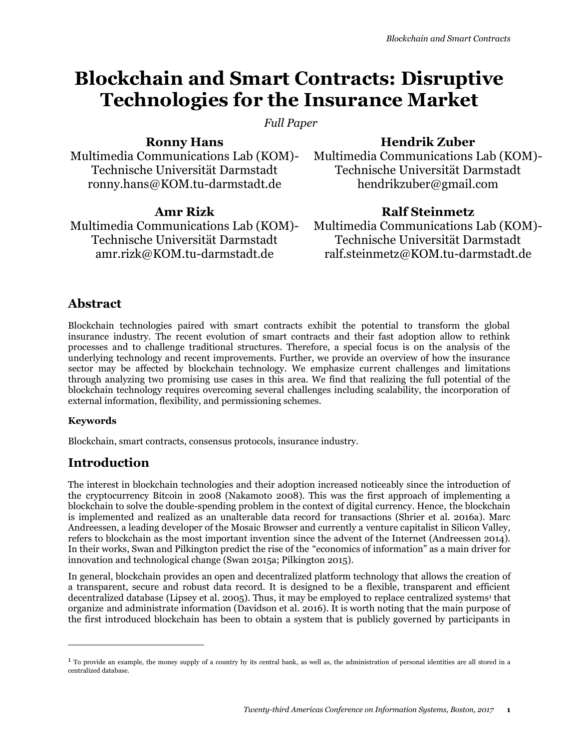# **Blockchain and Smart Contracts: Disruptive Technologies for the Insurance Market**

*Full Paper*

### **Ronny Hans**

Multimedia Communications Lab (KOM)- Technische Universität Darmstadt ronny.hans@KOM.tu-darmstadt.de

# **Hendrik Zuber**

Multimedia Communications Lab (KOM)- Technische Universität Darmstadt hendrikzuber@gmail.com

### **Amr Rizk**

Multimedia Communications Lab (KOM)- Technische Universität Darmstadt amr.rizk@KOM.tu-darmstadt.de

### **Ralf Steinmetz**

Multimedia Communications Lab (KOM)- Technische Universität Darmstadt ralf.steinmetz@KOM.tu-darmstadt.de

# **Abstract**

Blockchain technologies paired with smart contracts exhibit the potential to transform the global insurance industry. The recent evolution of smart contracts and their fast adoption allow to rethink processes and to challenge traditional structures. Therefore, a special focus is on the analysis of the underlying technology and recent improvements. Further, we provide an overview of how the insurance sector may be affected by blockchain technology. We emphasize current challenges and limitations through analyzing two promising use cases in this area. We find that realizing the full potential of the blockchain technology requires overcoming several challenges including scalability, the incorporation of external information, flexibility, and permissioning schemes.

### **Keywords**

 $\overline{a}$ 

Blockchain, smart contracts, consensus protocols, insurance industry.

## **Introduction**

The interest in blockchain technologies and their adoption increased noticeably since the introduction of the cryptocurrency Bitcoin in 2008 (Nakamoto 2008). This was the first approach of implementing a blockchain to solve the double-spending problem in the context of digital currency. Hence, the blockchain is implemented and realized as an unalterable data record for transactions (Shrier et al. 2016a). Marc Andreessen, a leading developer of the Mosaic Browser and currently a venture capitalist in Silicon Valley, refers to blockchain as the most important invention since the advent of the Internet (Andreessen 2014). In their works, Swan and Pilkington predict the rise of the "economics of information" as a main driver for innovation and technological change (Swan 2015a; Pilkington 2015).

In general, blockchain provides an open and decentralized platform technology that allows the creation of a transparent, secure and robust data record. It is designed to be a flexible, transparent and efficient decentralized database (Lipsey et al. 2005). Thus, it may be employed to replace centralized systems <sup>1</sup> that organize and administrate information (Davidson et al. 2016). It is worth noting that the main purpose of the first introduced blockchain has been to obtain a system that is publicly governed by participants in

 $<sup>1</sup>$  To provide an example, the money supply of a country by its central bank, as well as, the administration of personal identities are all stored in a</sup> centralized database.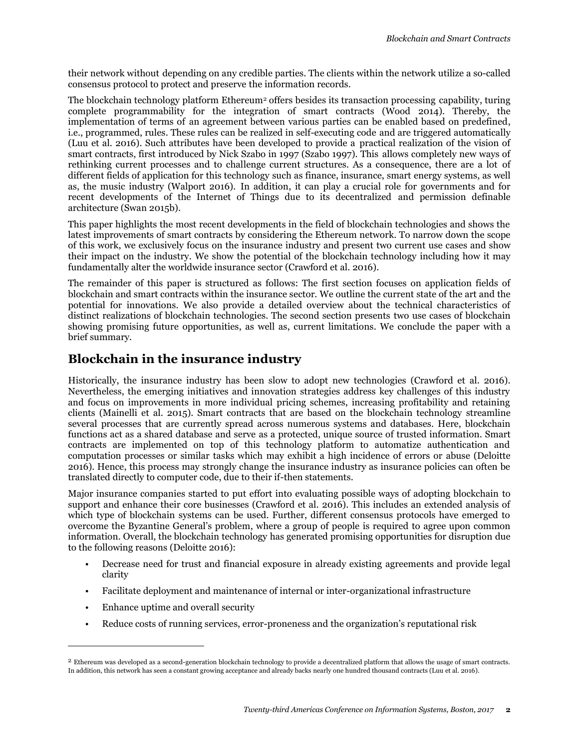their network without depending on any credible parties. The clients within the network utilize a so-called consensus protocol to protect and preserve the information records.

The blockchain technology platform Ethereum<sup>2</sup> offers besides its transaction processing capability, turing complete programmability for the integration of smart contracts (Wood 2014). Thereby, the implementation of terms of an agreement between various parties can be enabled based on predefined, i.e., programmed, rules. These rules can be realized in self-executing code and are triggered automatically (Luu et al. 2016). Such attributes have been developed to provide a practical realization of the vision of smart contracts, first introduced by Nick Szabo in 1997 (Szabo 1997). This allows completely new ways of rethinking current processes and to challenge current structures. As a consequence, there are a lot of different fields of application for this technology such as finance, insurance, smart energy systems, as well as, the music industry (Walport 2016). In addition, it can play a crucial role for governments and for recent developments of the Internet of Things due to its decentralized and permission definable architecture (Swan 2015b).

This paper highlights the most recent developments in the field of blockchain technologies and shows the latest improvements of smart contracts by considering the Ethereum network. To narrow down the scope of this work, we exclusively focus on the insurance industry and present two current use cases and show their impact on the industry. We show the potential of the blockchain technology including how it may fundamentally alter the worldwide insurance sector (Crawford et al. 2016).

The remainder of this paper is structured as follows: The first section focuses on application fields of blockchain and smart contracts within the insurance sector. We outline the current state of the art and the potential for innovations. We also provide a detailed overview about the technical characteristics of distinct realizations of blockchain technologies. The second section presents two use cases of blockchain showing promising future opportunities, as well as, current limitations. We conclude the paper with a brief summary.

# **Blockchain in the insurance industry**

Historically, the insurance industry has been slow to adopt new technologies (Crawford et al. 2016). Nevertheless, the emerging initiatives and innovation strategies address key challenges of this industry and focus on improvements in more individual pricing schemes, increasing profitability and retaining clients (Mainelli et al. 2015). Smart contracts that are based on the blockchain technology streamline several processes that are currently spread across numerous systems and databases. Here, blockchain functions act as a shared database and serve as a protected, unique source of trusted information. Smart contracts are implemented on top of this technology platform to automatize authentication and computation processes or similar tasks which may exhibit a high incidence of errors or abuse (Deloitte 2016). Hence, this process may strongly change the insurance industry as insurance policies can often be translated directly to computer code, due to their if-then statements.

Major insurance companies started to put effort into evaluating possible ways of adopting blockchain to support and enhance their core businesses (Crawford et al. 2016). This includes an extended analysis of which type of blockchain systems can be used. Further, different consensus protocols have emerged to overcome the Byzantine General's problem, where a group of people is required to agree upon common information. Overall, the blockchain technology has generated promising opportunities for disruption due to the following reasons (Deloitte 2016):

- Decrease need for trust and financial exposure in already existing agreements and provide legal clarity
- Facilitate deployment and maintenance of internal or inter-organizational infrastructure
- Enhance uptime and overall security

 $\overline{a}$ 

• Reduce costs of running services, error-proneness and the organization's reputational risk

<sup>2</sup> Ethereum was developed as a second-generation blockchain technology to provide a decentralized platform that allows the usage of smart contracts. In addition, this network has seen a constant growing acceptance and already backs nearly one hundred thousand contracts (Luu et al. 2016).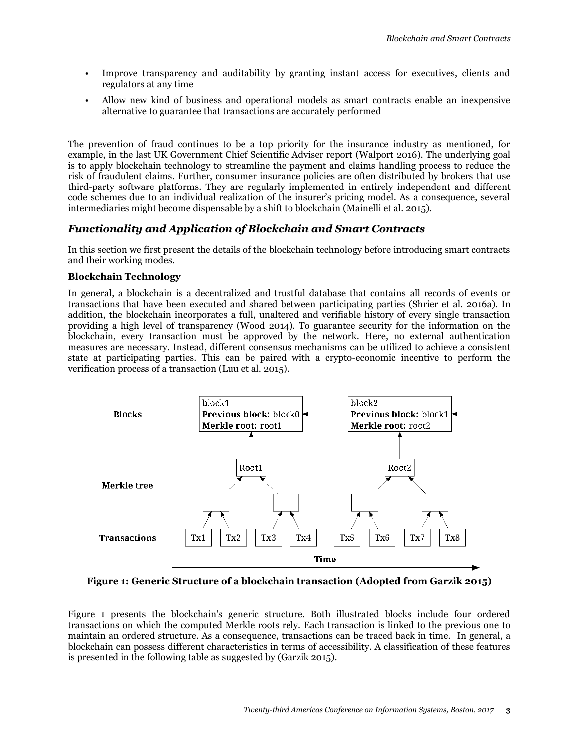- Improve transparency and auditability by granting instant access for executives, clients and regulators at any time
- Allow new kind of business and operational models as smart contracts enable an inexpensive alternative to guarantee that transactions are accurately performed

The prevention of fraud continues to be a top priority for the insurance industry as mentioned, for example, in the last UK Government Chief Scientific Adviser report (Walport 2016). The underlying goal is to apply blockchain technology to streamline the payment and claims handling process to reduce the risk of fraudulent claims. Further, consumer insurance policies are often distributed by brokers that use third-party software platforms. They are regularly implemented in entirely independent and different code schemes due to an individual realization of the insurer's pricing model. As a consequence, several intermediaries might become dispensable by a shift to blockchain (Mainelli et al. 2015).

### *Functionality and Application of Blockchain and Smart Contracts*

In this section we first present the details of the blockchain technology before introducing smart contracts and their working modes.

#### **Blockchain Technology**

In general, a blockchain is a decentralized and trustful database that contains all records of events or transactions that have been executed and shared between participating parties (Shrier et al. 2016a). In addition, the blockchain incorporates a full, unaltered and verifiable history of every single transaction providing a high level of transparency (Wood 2014). To guarantee security for the information on the blockchain, every transaction must be approved by the network. Here, no external authentication measures are necessary. Instead, different consensus mechanisms can be utilized to achieve a consistent state at participating parties. This can be paired with a crypto-economic incentive to perform the verification process of a transaction (Luu et al. 2015).



**Figure 1: Generic Structure of a blockchain transaction (Adopted from Garzik 2015)**

Figure 1 presents the blockchain's generic structure. Both illustrated blocks include four ordered transactions on which the computed Merkle roots rely. Each transaction is linked to the previous one to maintain an ordered structure. As a consequence, transactions can be traced back in time. In general, a blockchain can possess different characteristics in terms of accessibility. A classification of these features is presented in the following table as suggested by (Garzik 2015).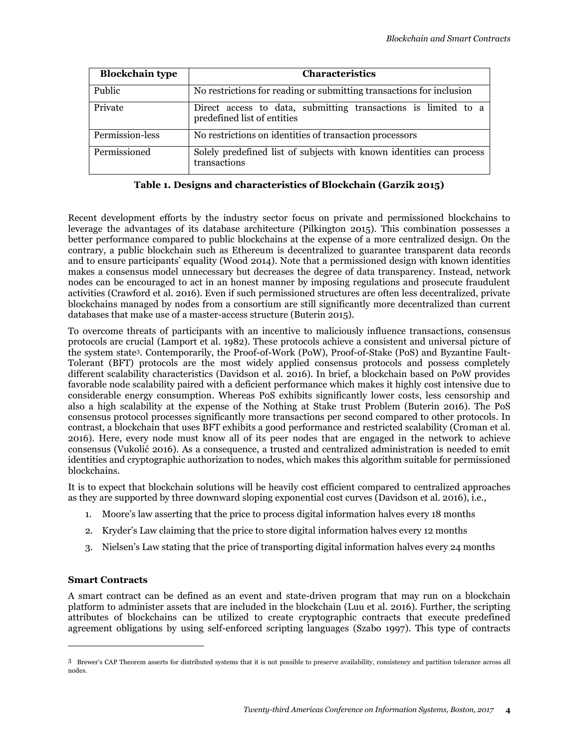| <b>Blockchain type</b> | Characteristics                                                                               |
|------------------------|-----------------------------------------------------------------------------------------------|
| Public                 | No restrictions for reading or submitting transactions for inclusion                          |
| Private                | Direct access to data, submitting transactions is limited to a<br>predefined list of entities |
| Permission-less        | No restrictions on identities of transaction processors                                       |
| Permissioned           | Solely predefined list of subjects with known identities can process<br>transactions          |

**Table 1. Designs and characteristics of Blockchain (Garzik 2015)**

Recent development efforts by the industry sector focus on private and permissioned blockchains to leverage the advantages of its database architecture (Pilkington 2015). This combination possesses a better performance compared to public blockchains at the expense of a more centralized design. On the contrary, a public blockchain such as Ethereum is decentralized to guarantee transparent data records and to ensure participants' equality (Wood 2014). Note that a permissioned design with known identities makes a consensus model unnecessary but decreases the degree of data transparency. Instead, network nodes can be encouraged to act in an honest manner by imposing regulations and prosecute fraudulent activities (Crawford et al. 2016). Even if such permissioned structures are often less decentralized, private blockchains managed by nodes from a consortium are still significantly more decentralized than current databases that make use of a master-access structure (Buterin 2015).

To overcome threats of participants with an incentive to maliciously influence transactions, consensus protocols are crucial (Lamport et al. 1982). These protocols achieve a consistent and universal picture of the system state3. Contemporarily, the Proof-of-Work (PoW), Proof-of-Stake (PoS) and Byzantine Fault-Tolerant (BFT) protocols are the most widely applied consensus protocols and possess completely different scalability characteristics (Davidson et al. 2016). In brief, a blockchain based on PoW provides favorable node scalability paired with a deficient performance which makes it highly cost intensive due to considerable energy consumption. Whereas PoS exhibits significantly lower costs, less censorship and also a high scalability at the expense of the Nothing at Stake trust Problem (Buterin 2016). The PoS consensus protocol processes significantly more transactions per second compared to other protocols. In contrast, a blockchain that uses BFT exhibits a good performance and restricted scalability (Croman et al. 2016). Here, every node must know all of its peer nodes that are engaged in the network to achieve consensus (Vukolić 2016). As a consequence, a trusted and centralized administration is needed to emit identities and cryptographic authorization to nodes, which makes this algorithm suitable for permissioned blockchains.

It is to expect that blockchain solutions will be heavily cost efficient compared to centralized approaches as they are supported by three downward sloping exponential cost curves (Davidson et al. 2016), i.e.,

- 1. Moore's law asserting that the price to process digital information halves every 18 months
- 2. Kryder's Law claiming that the price to store digital information halves every 12 months
- 3. Nielsen's Law stating that the price of transporting digital information halves every 24 months

#### **Smart Contracts**

 $\overline{a}$ 

A smart contract can be defined as an event and state-driven program that may run on a blockchain platform to administer assets that are included in the blockchain (Luu et al. 2016). Further, the scripting attributes of blockchains can be utilized to create cryptographic contracts that execute predefined agreement obligations by using self-enforced scripting languages (Szabo 1997). This type of contracts

<sup>3</sup> Brewer's CAP Theorem asserts for distributed systems that it is not possible to preserve availability, consistency and partition tolerance across all nodes.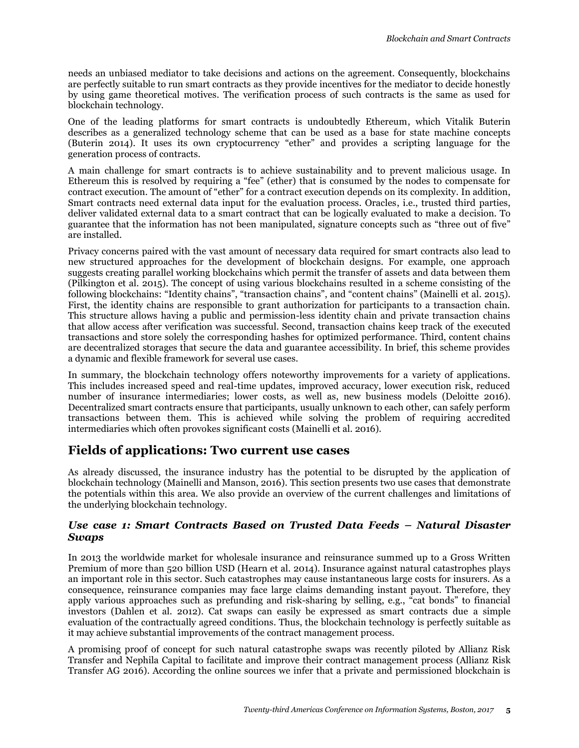needs an unbiased mediator to take decisions and actions on the agreement. Consequently, blockchains are perfectly suitable to run smart contracts as they provide incentives for the mediator to decide honestly by using game theoretical motives. The verification process of such contracts is the same as used for blockchain technology.

One of the leading platforms for smart contracts is undoubtedly Ethereum, which Vitalik Buterin describes as a generalized technology scheme that can be used as a base for state machine concepts (Buterin 2014). It uses its own cryptocurrency "ether" and provides a scripting language for the generation process of contracts.

A main challenge for smart contracts is to achieve sustainability and to prevent malicious usage. In Ethereum this is resolved by requiring a "fee" (ether) that is consumed by the nodes to compensate for contract execution. The amount of "ether" for a contract execution depends on its complexity. In addition, Smart contracts need external data input for the evaluation process. Oracles, i.e., trusted third parties, deliver validated external data to a smart contract that can be logically evaluated to make a decision. To guarantee that the information has not been manipulated, signature concepts such as "three out of five" are installed.

Privacy concerns paired with the vast amount of necessary data required for smart contracts also lead to new structured approaches for the development of blockchain designs. For example, one approach suggests creating parallel working blockchains which permit the transfer of assets and data between them (Pilkington et al. 2015). The concept of using various blockchains resulted in a scheme consisting of the following blockchains: "Identity chains", "transaction chains", and "content chains" (Mainelli et al. 2015). First, the identity chains are responsible to grant authorization for participants to a transaction chain. This structure allows having a public and permission-less identity chain and private transaction chains that allow access after verification was successful. Second, transaction chains keep track of the executed transactions and store solely the corresponding hashes for optimized performance. Third, content chains are decentralized storages that secure the data and guarantee accessibility. In brief, this scheme provides a dynamic and flexible framework for several use cases.

In summary, the blockchain technology offers noteworthy improvements for a variety of applications. This includes increased speed and real-time updates, improved accuracy, lower execution risk, reduced number of insurance intermediaries; lower costs, as well as, new business models (Deloitte 2016). Decentralized smart contracts ensure that participants, usually unknown to each other, can safely perform transactions between them. This is achieved while solving the problem of requiring accredited intermediaries which often provokes significant costs (Mainelli et al. 2016).

## **Fields of applications: Two current use cases**

As already discussed, the insurance industry has the potential to be disrupted by the application of blockchain technology (Mainelli and Manson, 2016). This section presents two use cases that demonstrate the potentials within this area. We also provide an overview of the current challenges and limitations of the underlying blockchain technology.

#### *Use case 1: Smart Contracts Based on Trusted Data Feeds – Natural Disaster Swaps*

In 2013 the worldwide market for wholesale insurance and reinsurance summed up to a Gross Written Premium of more than 520 billion USD (Hearn et al. 2014). Insurance against natural catastrophes plays an important role in this sector. Such catastrophes may cause instantaneous large costs for insurers. As a consequence, reinsurance companies may face large claims demanding instant payout. Therefore, they apply various approaches such as prefunding and risk-sharing by selling, e.g., "cat bonds" to financial investors (Dahlen et al. 2012). Cat swaps can easily be expressed as smart contracts due a simple evaluation of the contractually agreed conditions. Thus, the blockchain technology is perfectly suitable as it may achieve substantial improvements of the contract management process.

A promising proof of concept for such natural catastrophe swaps was recently piloted by Allianz Risk Transfer and Nephila Capital to facilitate and improve their contract management process (Allianz Risk Transfer AG 2016). According the online sources we infer that a private and permissioned blockchain is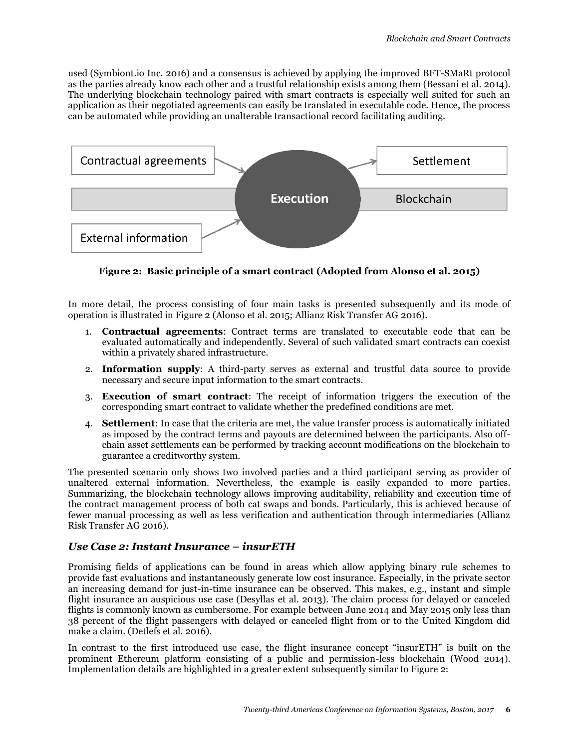used (Symbiont.io Inc. 2016) and a consensus is achieved by applying the improved BFT-SMaRt protocol as the parties already know each other and a trustful relationship exists among them (Bessani et al. 2014). The underlying blockchain technology paired with smart contracts is especially well suited for such an application as their negotiated agreements can easily be translated in executable code. Hence, the process can be automated while providing an unalterable transactional record facilitating auditing.



**Figure 2: Basic principle of a smart contract (Adopted from Alonso et al. 2015)**

In more detail, the process consisting of four main tasks is presented subsequently and its mode of operation is illustrated in Figure 2 (Alonso et al. 2015; Allianz Risk Transfer AG 2016).

- 1. **Contractual agreements**: Contract terms are translated to executable code that can be evaluated automatically and independently. Several of such validated smart contracts can coexist within a privately shared infrastructure.
- 2. **Information supply**: A third-party serves as external and trustful data source to provide necessary and secure input information to the smart contracts.
- 3. **Execution of smart contract**: The receipt of information triggers the execution of the corresponding smart contract to validate whether the predefined conditions are met.
- 4. **Settlement**: In case that the criteria are met, the value transfer process is automatically initiated as imposed by the contract terms and payouts are determined between the participants. Also offchain asset settlements can be performed by tracking account modifications on the blockchain to guarantee a creditworthy system.

The presented scenario only shows two involved parties and a third participant serving as provider of unaltered external information. Nevertheless, the example is easily expanded to more parties. Summarizing, the blockchain technology allows improving auditability, reliability and execution time of the contract management process of both cat swaps and bonds. Particularly, this is achieved because of fewer manual processing as well as less verification and authentication through intermediaries (Allianz Risk Transfer AG 2016).

#### *Use Case 2: Instant Insurance – insurETH*

Promising fields of applications can be found in areas which allow applying binary rule schemes to provide fast evaluations and instantaneously generate low cost insurance. Especially, in the private sector an increasing demand for just-in-time insurance can be observed. This makes, e.g., instant and simple flight insurance an auspicious use case (Desyllas et al. 2013). The claim process for delayed or canceled flights is commonly known as cumbersome. For example between June 2014 and May 2015 only less than 38 percent of the flight passengers with delayed or canceled flight from or to the United Kingdom did make a claim. (Detlefs et al. 2016).

In contrast to the first introduced use case, the flight insurance concept "insurETH" is built on the prominent Ethereum platform consisting of a public and permission-less blockchain (Wood 2014). Implementation details are highlighted in a greater extent subsequently similar to Figure 2: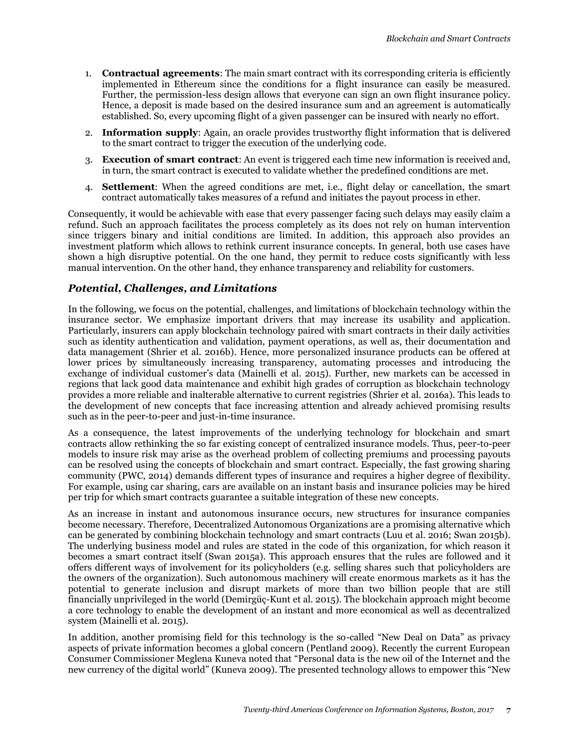- 1. **Contractual agreements**: The main smart contract with its corresponding criteria is efficiently implemented in Ethereum since the conditions for a flight insurance can easily be measured. Further, the permission-less design allows that everyone can sign an own flight insurance policy. Hence, a deposit is made based on the desired insurance sum and an agreement is automatically established. So, every upcoming flight of a given passenger can be insured with nearly no effort.
- 2. **Information supply**: Again, an oracle provides trustworthy flight information that is delivered to the smart contract to trigger the execution of the underlying code.
- 3. **Execution of smart contract**: An event is triggered each time new information is received and, in turn, the smart contract is executed to validate whether the predefined conditions are met.
- 4. **Settlement**: When the agreed conditions are met, i.e., flight delay or cancellation, the smart contract automatically takes measures of a refund and initiates the payout process in ether.

Consequently, it would be achievable with ease that every passenger facing such delays may easily claim a refund. Such an approach facilitates the process completely as its does not rely on human intervention since triggers binary and initial conditions are limited. In addition, this approach also provides an investment platform which allows to rethink current insurance concepts. In general, both use cases have shown a high disruptive potential. On the one hand, they permit to reduce costs significantly with less manual intervention. On the other hand, they enhance transparency and reliability for customers.

### *Potential, Challenges, and Limitations*

In the following, we focus on the potential, challenges, and limitations of blockchain technology within the insurance sector. We emphasize important drivers that may increase its usability and application. Particularly, insurers can apply blockchain technology paired with smart contracts in their daily activities such as identity authentication and validation, payment operations, as well as, their documentation and data management (Shrier et al. 2016b). Hence, more personalized insurance products can be offered at lower prices by simultaneously increasing transparency, automating processes and introducing the exchange of individual customer's data (Mainelli et al. 2015). Further, new markets can be accessed in regions that lack good data maintenance and exhibit high grades of corruption as blockchain technology provides a more reliable and inalterable alternative to current registries (Shrier et al. 2016a). This leads to the development of new concepts that face increasing attention and already achieved promising results such as in the peer-to-peer and just-in-time insurance.

As a consequence, the latest improvements of the underlying technology for blockchain and smart contracts allow rethinking the so far existing concept of centralized insurance models. Thus, peer-to-peer models to insure risk may arise as the overhead problem of collecting premiums and processing payouts can be resolved using the concepts of blockchain and smart contract. Especially, the fast growing sharing community (PWC, 2014) demands different types of insurance and requires a higher degree of flexibility. For example, using car sharing, cars are available on an instant basis and insurance policies may be hired per trip for which smart contracts guarantee a suitable integration of these new concepts.

As an increase in instant and autonomous insurance occurs, new structures for insurance companies become necessary. Therefore, Decentralized Autonomous Organizations are a promising alternative which can be generated by combining blockchain technology and smart contracts (Luu et al. 2016; Swan 2015b). The underlying business model and rules are stated in the code of this organization, for which reason it becomes a smart contract itself (Swan 2015a). This approach ensures that the rules are followed and it offers different ways of involvement for its policyholders (e.g. selling shares such that policyholders are the owners of the organization). Such autonomous machinery will create enormous markets as it has the potential to generate inclusion and disrupt markets of more than two billion people that are still financially unprivileged in the world (Demirgüç-Kunt et al. 2015). The blockchain approach might become a core technology to enable the development of an instant and more economical as well as decentralized system (Mainelli et al. 2015).

In addition, another promising field for this technology is the so-called "New Deal on Data" as privacy aspects of private information becomes a global concern (Pentland 2009). Recently the current European Consumer Commissioner Meglena Kuneva noted that "Personal data is the new oil of the Internet and the new currency of the digital world" (Kuneva 2009). The presented technology allows to empower this "New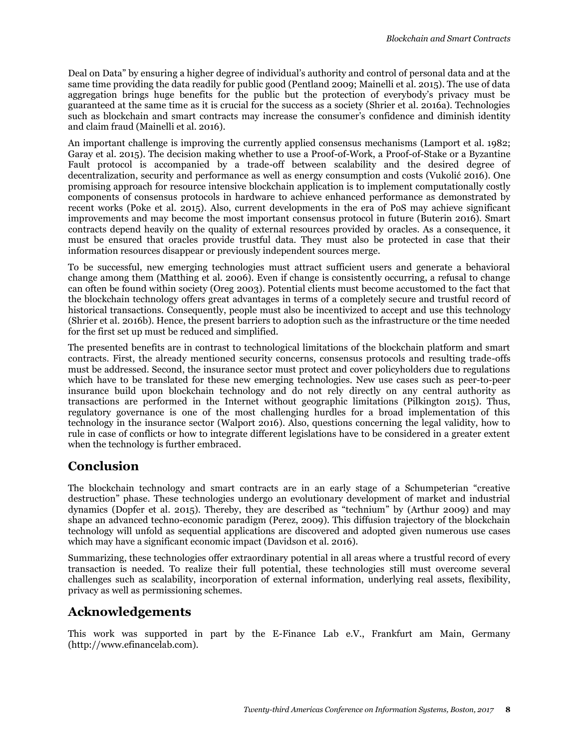Deal on Data" by ensuring a higher degree of individual's authority and control of personal data and at the same time providing the data readily for public good (Pentland 2009; Mainelli et al. 2015). The use of data aggregation brings huge benefits for the public but the protection of everybody's privacy must be guaranteed at the same time as it is crucial for the success as a society (Shrier et al. 2016a). Technologies such as blockchain and smart contracts may increase the consumer's confidence and diminish identity and claim fraud (Mainelli et al. 2016).

An important challenge is improving the currently applied consensus mechanisms (Lamport et al. 1982; Garay et al. 2015). The decision making whether to use a Proof-of-Work, a Proof-of-Stake or a Byzantine Fault protocol is accompanied by a trade-off between scalability and the desired degree of decentralization, security and performance as well as energy consumption and costs (Vukolić 2016). One promising approach for resource intensive blockchain application is to implement computationally costly components of consensus protocols in hardware to achieve enhanced performance as demonstrated by recent works (Poke et al. 2015). Also, current developments in the era of PoS may achieve significant improvements and may become the most important consensus protocol in future (Buterin 2016). Smart contracts depend heavily on the quality of external resources provided by oracles. As a consequence, it must be ensured that oracles provide trustful data. They must also be protected in case that their information resources disappear or previously independent sources merge.

To be successful, new emerging technologies must attract sufficient users and generate a behavioral change among them (Matthing et al. 2006). Even if change is consistently occurring, a refusal to change can often be found within society (Oreg 2003). Potential clients must become accustomed to the fact that the blockchain technology offers great advantages in terms of a completely secure and trustful record of historical transactions. Consequently, people must also be incentivized to accept and use this technology (Shrier et al. 2016b). Hence, the present barriers to adoption such as the infrastructure or the time needed for the first set up must be reduced and simplified.

The presented benefits are in contrast to technological limitations of the blockchain platform and smart contracts. First, the already mentioned security concerns, consensus protocols and resulting trade-offs must be addressed. Second, the insurance sector must protect and cover policyholders due to regulations which have to be translated for these new emerging technologies. New use cases such as peer-to-peer insurance build upon blockchain technology and do not rely directly on any central authority as transactions are performed in the Internet without geographic limitations (Pilkington 2015). Thus, regulatory governance is one of the most challenging hurdles for a broad implementation of this technology in the insurance sector (Walport 2016). Also, questions concerning the legal validity, how to rule in case of conflicts or how to integrate different legislations have to be considered in a greater extent when the technology is further embraced.

## **Conclusion**

The blockchain technology and smart contracts are in an early stage of a Schumpeterian "creative destruction" phase. These technologies undergo an evolutionary development of market and industrial dynamics (Dopfer et al. 2015). Thereby, they are described as "technium" by (Arthur 2009) and may shape an advanced techno-economic paradigm (Perez, 2009). This diffusion trajectory of the blockchain technology will unfold as sequential applications are discovered and adopted given numerous use cases which may have a significant economic impact (Davidson et al. 2016).

Summarizing, these technologies offer extraordinary potential in all areas where a trustful record of every transaction is needed. To realize their full potential, these technologies still must overcome several challenges such as scalability, incorporation of external information, underlying real assets, flexibility, privacy as well as permissioning schemes.

## **Acknowledgements**

This work was supported in part by the E-Finance Lab e.V., Frankfurt am Main, Germany (http://www.efinancelab.com).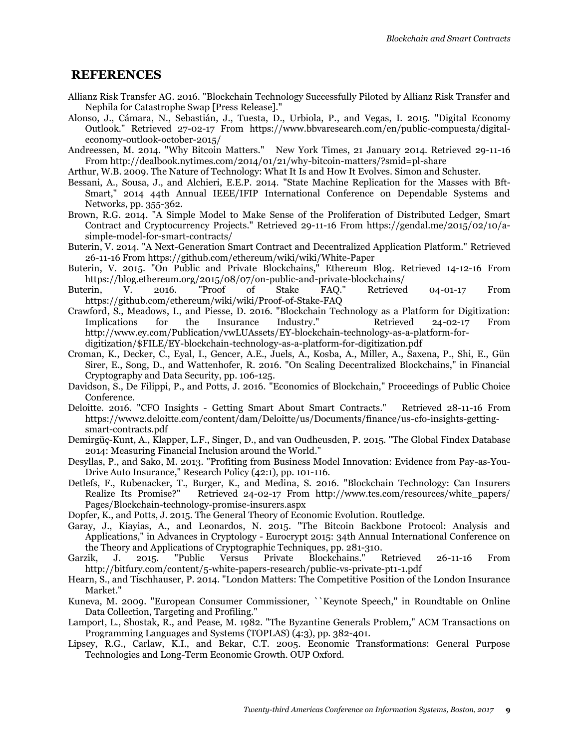### **REFERENCES**

- Allianz Risk Transfer AG. 2016. "Blockchain Technology Successfully Piloted by Allianz Risk Transfer and Nephila for Catastrophe Swap [Press Release]."
- Alonso, J., Cámara, N., Sebastián, J., Tuesta, D., Urbiola, P., and Vegas, I. 2015. "Digital Economy Outlook." Retrieved 27-02-17 From https://www.bbvaresearch.com/en/public-compuesta/digitaleconomy-outlook-october-2015/
- Andreessen, M. 2014. "Why Bitcoin Matters." New York Times, 21 January 2014. Retrieved 29-11-16 From http://dealbook.nytimes.com/2014/01/21/why-bitcoin-matters/?smid=pl-share
- Arthur, W.B. 2009. The Nature of Technology: What It Is and How It Evolves. Simon and Schuster.
- Bessani, A., Sousa, J., and Alchieri, E.E.P. 2014. "State Machine Replication for the Masses with Bft-Smart," 2014 44th Annual IEEE/IFIP International Conference on Dependable Systems and Networks, pp. 355-362.
- Brown, R.G. 2014. "A Simple Model to Make Sense of the Proliferation of Distributed Ledger, Smart Contract and Cryptocurrency Projects." Retrieved 29-11-16 From https://gendal.me/2015/02/10/asimple-model-for-smart-contracts/
- Buterin, V. 2014. "A Next-Generation Smart Contract and Decentralized Application Platform." Retrieved 26-11-16 From https://github.com/ethereum/wiki/wiki/White-Paper
- Buterin, V. 2015. "On Public and Private Blockchains," Ethereum Blog. Retrieved 14-12-16 From https://blog.ethereum.org/2015/08/07/on-public-and-private-blockchains/
- Buterin, V. 2016. "Proof of Stake FAQ." Retrieved 04-01-17 From https://github.com/ethereum/wiki/wiki/Proof-of-Stake-FAQ
- Crawford, S., Meadows, I., and Piesse, D. 2016. "Blockchain Technology as a Platform for Digitization: Implications for the Insurance Industry." Retrieved 24-02-17 From http://www.ey.com/Publication/vwLUAssets/EY-blockchain-technology-as-a-platform-fordigitization/\$FILE/EY-blockchain-technology-as-a-platform-for-digitization.pdf
- Croman, K., Decker, C., Eyal, I., Gencer, A.E., Juels, A., Kosba, A., Miller, A., Saxena, P., Shi, E., Gün Sirer, E., Song, D., and Wattenhofer, R. 2016. "On Scaling Decentralized Blockchains," in Financial Cryptography and Data Security, pp. 106-125.
- Davidson, S., De Filippi, P., and Potts, J. 2016. "Economics of Blockchain," Proceedings of Public Choice Conference.
- Deloitte. 2016. "CFO Insights Getting Smart About Smart Contracts." Retrieved 28-11-16 From https://www2.deloitte.com/content/dam/Deloitte/us/Documents/finance/us-cfo-insights-gettingsmart-contracts.pdf
- Demirgüç-Kunt, A., Klapper, L.F., Singer, D., and van Oudheusden, P. 2015. "The Global Findex Database 2014: Measuring Financial Inclusion around the World."
- Desyllas, P., and Sako, M. 2013. "Profiting from Business Model Innovation: Evidence from Pay-as-You-Drive Auto Insurance," Research Policy (42:1), pp. 101-116.
- Detlefs, F., Rubenacker, T., Burger, K., and Medina, S. 2016. "Blockchain Technology: Can Insurers Retrieved 24-02-17 From http://www.tcs.com/resources/white\_papers/ Pages/Blockchain-technology-promise-insurers.aspx
- Dopfer, K., and Potts, J. 2015. The General Theory of Economic Evolution. Routledge.
- Garay, J., Kiayias, A., and Leonardos, N. 2015. "The Bitcoin Backbone Protocol: Analysis and Applications," in Advances in Cryptology - Eurocrypt 2015: 34th Annual International Conference on the Theory and Applications of Cryptographic Techniques, pp. 281-310.
- Garzik, J. 2015. "Public Versus Private Blockchains." Retrieved 26-11-16 From http://bitfury.com/content/5-white-papers-research/public-vs-private-pt1-1.pdf
- Hearn, S., and Tischhauser, P. 2014. "London Matters: The Competitive Position of the London Insurance Market."
- Kuneva, M. 2009. "European Consumer Commissioner, ``Keynote Speech,'' in Roundtable on Online Data Collection, Targeting and Profiling."
- Lamport, L., Shostak, R., and Pease, M. 1982. "The Byzantine Generals Problem," ACM Transactions on Programming Languages and Systems (TOPLAS) (4:3), pp. 382-401.
- Lipsey, R.G., Carlaw, K.I., and Bekar, C.T. 2005. Economic Transformations: General Purpose Technologies and Long-Term Economic Growth. OUP Oxford.